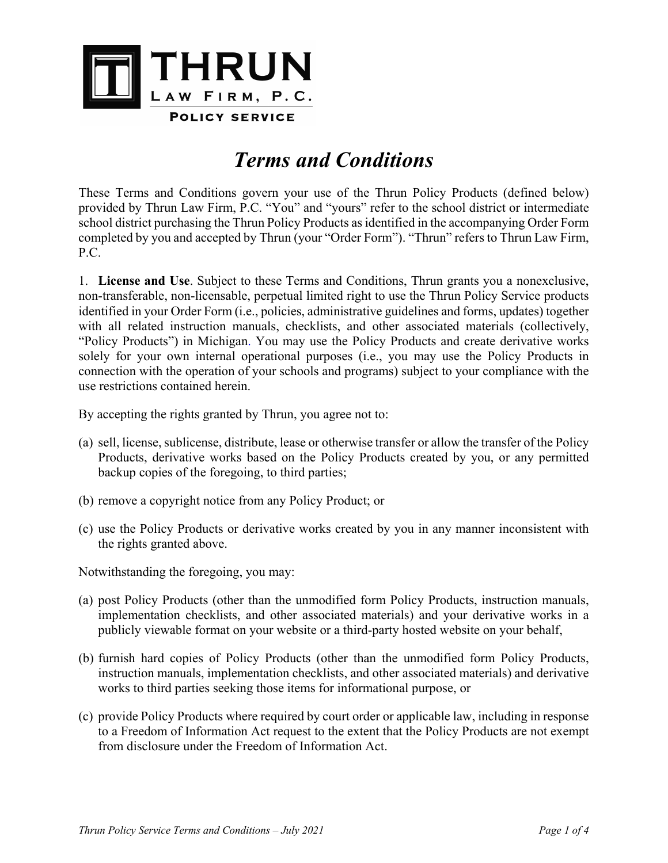

# *Terms and Conditions*

These Terms and Conditions govern your use of the Thrun Policy Products (defined below) provided by Thrun Law Firm, P.C. "You" and "yours" refer to the school district or intermediate school district purchasing the Thrun Policy Products as identified in the accompanying Order Form completed by you and accepted by Thrun (your "Order Form"). "Thrun" refers to Thrun Law Firm, P.C.

1. **License and Use**. Subject to these Terms and Conditions, Thrun grants you a nonexclusive, non-transferable, non-licensable, perpetual limited right to use the Thrun Policy Service products identified in your Order Form (i.e., policies, administrative guidelines and forms, updates) together with all related instruction manuals, checklists, and other associated materials (collectively, "Policy Products") in Michigan. You may use the Policy Products and create derivative works solely for your own internal operational purposes (i.e., you may use the Policy Products in connection with the operation of your schools and programs) subject to your compliance with the use restrictions contained herein.

By accepting the rights granted by Thrun, you agree not to:

- (a) sell, license, sublicense, distribute, lease or otherwise transfer or allow the transfer of the Policy Products, derivative works based on the Policy Products created by you, or any permitted backup copies of the foregoing, to third parties;
- (b) remove a copyright notice from any Policy Product; or
- (c) use the Policy Products or derivative works created by you in any manner inconsistent with the rights granted above.

Notwithstanding the foregoing, you may:

- (a) post Policy Products (other than the unmodified form Policy Products, instruction manuals, implementation checklists, and other associated materials) and your derivative works in a publicly viewable format on your website or a third-party hosted website on your behalf,
- (b) furnish hard copies of Policy Products (other than the unmodified form Policy Products, instruction manuals, implementation checklists, and other associated materials) and derivative works to third parties seeking those items for informational purpose, or
- (c) provide Policy Products where required by court order or applicable law, including in response to a Freedom of Information Act request to the extent that the Policy Products are not exempt from disclosure under the Freedom of Information Act.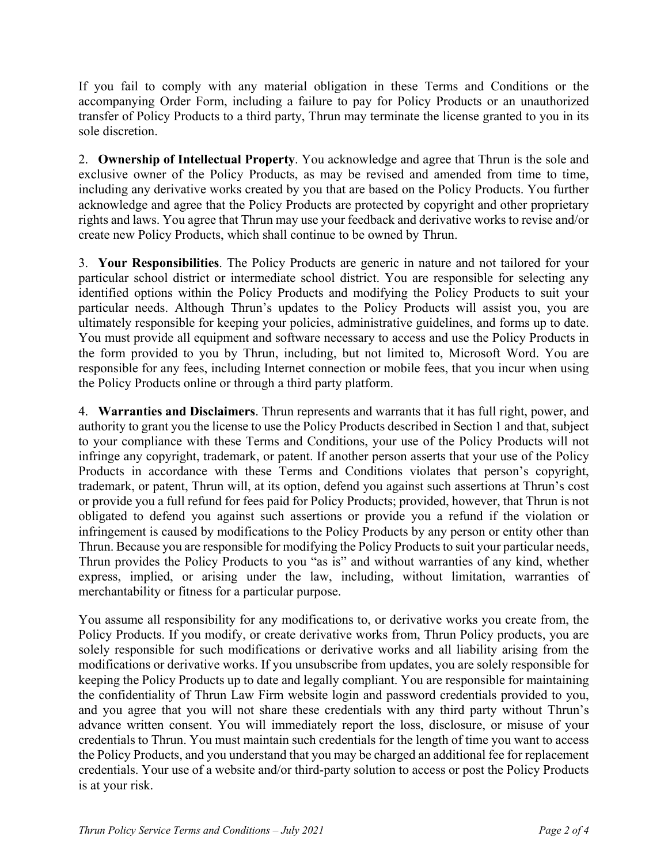If you fail to comply with any material obligation in these Terms and Conditions or the accompanying Order Form, including a failure to pay for Policy Products or an unauthorized transfer of Policy Products to a third party, Thrun may terminate the license granted to you in its sole discretion.

2. **Ownership of Intellectual Property**. You acknowledge and agree that Thrun is the sole and exclusive owner of the Policy Products, as may be revised and amended from time to time, including any derivative works created by you that are based on the Policy Products. You further acknowledge and agree that the Policy Products are protected by copyright and other proprietary rights and laws. You agree that Thrun may use your feedback and derivative works to revise and/or create new Policy Products, which shall continue to be owned by Thrun.

3. **Your Responsibilities**. The Policy Products are generic in nature and not tailored for your particular school district or intermediate school district. You are responsible for selecting any identified options within the Policy Products and modifying the Policy Products to suit your particular needs. Although Thrun's updates to the Policy Products will assist you, you are ultimately responsible for keeping your policies, administrative guidelines, and forms up to date. You must provide all equipment and software necessary to access and use the Policy Products in the form provided to you by Thrun, including, but not limited to, Microsoft Word. You are responsible for any fees, including Internet connection or mobile fees, that you incur when using the Policy Products online or through a third party platform.

4. **Warranties and Disclaimers**. Thrun represents and warrants that it has full right, power, and authority to grant you the license to use the Policy Products described in Section 1 and that, subject to your compliance with these Terms and Conditions, your use of the Policy Products will not infringe any copyright, trademark, or patent. If another person asserts that your use of the Policy Products in accordance with these Terms and Conditions violates that person's copyright, trademark, or patent, Thrun will, at its option, defend you against such assertions at Thrun's cost or provide you a full refund for fees paid for Policy Products; provided, however, that Thrun is not obligated to defend you against such assertions or provide you a refund if the violation or infringement is caused by modifications to the Policy Products by any person or entity other than Thrun. Because you are responsible for modifying the Policy Products to suit your particular needs, Thrun provides the Policy Products to you "as is" and without warranties of any kind, whether express, implied, or arising under the law, including, without limitation, warranties of merchantability or fitness for a particular purpose.

You assume all responsibility for any modifications to, or derivative works you create from, the Policy Products. If you modify, or create derivative works from, Thrun Policy products, you are solely responsible for such modifications or derivative works and all liability arising from the modifications or derivative works. If you unsubscribe from updates, you are solely responsible for keeping the Policy Products up to date and legally compliant. You are responsible for maintaining the confidentiality of Thrun Law Firm website login and password credentials provided to you, and you agree that you will not share these credentials with any third party without Thrun's advance written consent. You will immediately report the loss, disclosure, or misuse of your credentials to Thrun. You must maintain such credentials for the length of time you want to access the Policy Products, and you understand that you may be charged an additional fee for replacement credentials. Your use of a website and/or third-party solution to access or post the Policy Products is at your risk.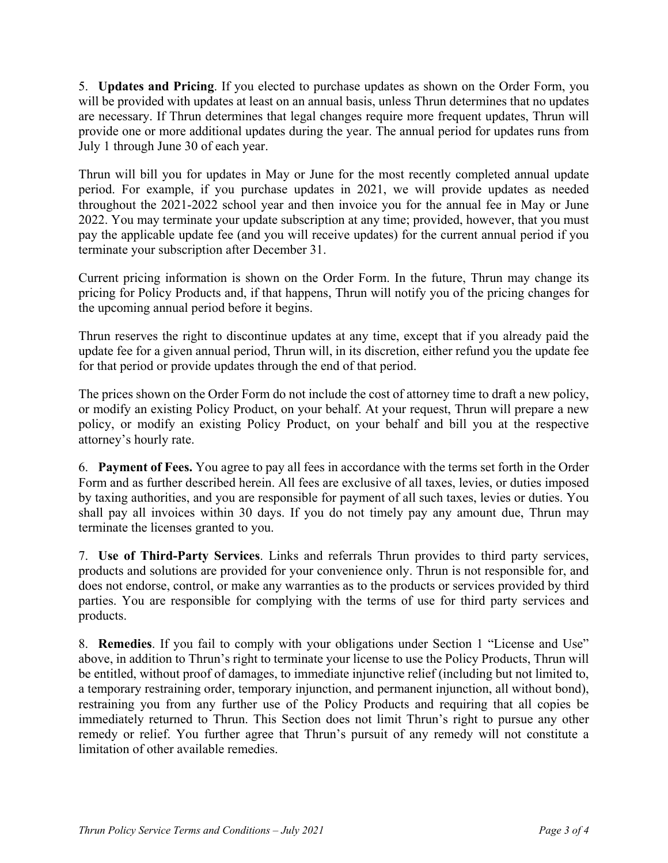5. **Updates and Pricing**. If you elected to purchase updates as shown on the Order Form, you will be provided with updates at least on an annual basis, unless Thrun determines that no updates are necessary. If Thrun determines that legal changes require more frequent updates, Thrun will provide one or more additional updates during the year. The annual period for updates runs from July 1 through June 30 of each year.

Thrun will bill you for updates in May or June for the most recently completed annual update period. For example, if you purchase updates in 2021, we will provide updates as needed throughout the 2021-2022 school year and then invoice you for the annual fee in May or June 2022. You may terminate your update subscription at any time; provided, however, that you must pay the applicable update fee (and you will receive updates) for the current annual period if you terminate your subscription after December 31.

Current pricing information is shown on the Order Form. In the future, Thrun may change its pricing for Policy Products and, if that happens, Thrun will notify you of the pricing changes for the upcoming annual period before it begins.

Thrun reserves the right to discontinue updates at any time, except that if you already paid the update fee for a given annual period, Thrun will, in its discretion, either refund you the update fee for that period or provide updates through the end of that period.

The prices shown on the Order Form do not include the cost of attorney time to draft a new policy, or modify an existing Policy Product, on your behalf. At your request, Thrun will prepare a new policy, or modify an existing Policy Product, on your behalf and bill you at the respective attorney's hourly rate.

6. **Payment of Fees.** You agree to pay all fees in accordance with the terms set forth in the Order Form and as further described herein. All fees are exclusive of all taxes, levies, or duties imposed by taxing authorities, and you are responsible for payment of all such taxes, levies or duties. You shall pay all invoices within 30 days. If you do not timely pay any amount due, Thrun may terminate the licenses granted to you.

7. **Use of Third-Party Services**. Links and referrals Thrun provides to third party services, products and solutions are provided for your convenience only. Thrun is not responsible for, and does not endorse, control, or make any warranties as to the products or services provided by third parties. You are responsible for complying with the terms of use for third party services and products.

8. **Remedies**. If you fail to comply with your obligations under Section 1 "License and Use" above, in addition to Thrun's right to terminate your license to use the Policy Products, Thrun will be entitled, without proof of damages, to immediate injunctive relief (including but not limited to, a temporary restraining order, temporary injunction, and permanent injunction, all without bond), restraining you from any further use of the Policy Products and requiring that all copies be immediately returned to Thrun. This Section does not limit Thrun's right to pursue any other remedy or relief. You further agree that Thrun's pursuit of any remedy will not constitute a limitation of other available remedies.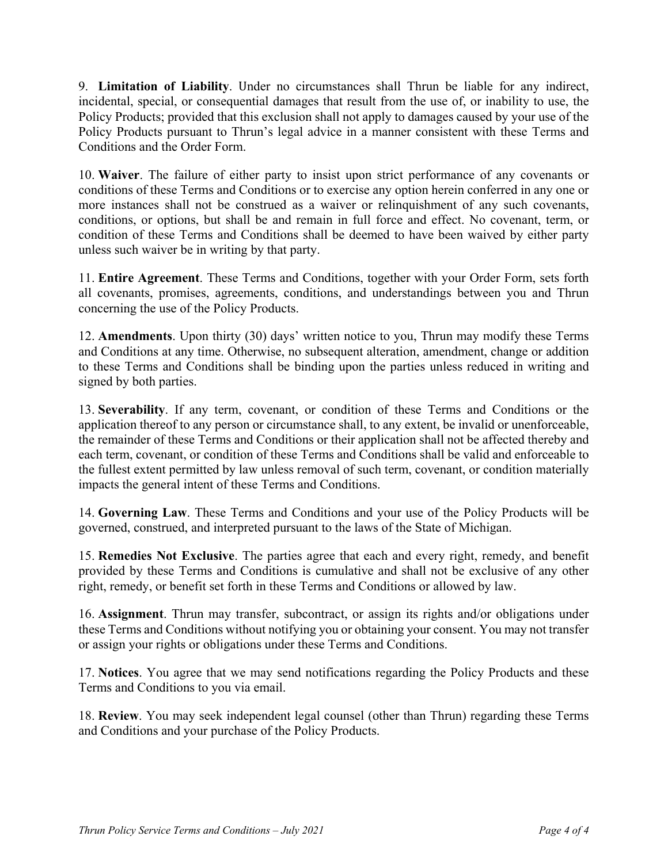9. **Limitation of Liability**. Under no circumstances shall Thrun be liable for any indirect, incidental, special, or consequential damages that result from the use of, or inability to use, the Policy Products; provided that this exclusion shall not apply to damages caused by your use of the Policy Products pursuant to Thrun's legal advice in a manner consistent with these Terms and Conditions and the Order Form.

10. **Waiver**. The failure of either party to insist upon strict performance of any covenants or conditions of these Terms and Conditions or to exercise any option herein conferred in any one or more instances shall not be construed as a waiver or relinquishment of any such covenants, conditions, or options, but shall be and remain in full force and effect. No covenant, term, or condition of these Terms and Conditions shall be deemed to have been waived by either party unless such waiver be in writing by that party.

11. **Entire Agreement**. These Terms and Conditions, together with your Order Form, sets forth all covenants, promises, agreements, conditions, and understandings between you and Thrun concerning the use of the Policy Products.

12. **Amendments**. Upon thirty (30) days' written notice to you, Thrun may modify these Terms and Conditions at any time. Otherwise, no subsequent alteration, amendment, change or addition to these Terms and Conditions shall be binding upon the parties unless reduced in writing and signed by both parties.

13. **Severability**. If any term, covenant, or condition of these Terms and Conditions or the application thereof to any person or circumstance shall, to any extent, be invalid or unenforceable, the remainder of these Terms and Conditions or their application shall not be affected thereby and each term, covenant, or condition of these Terms and Conditions shall be valid and enforceable to the fullest extent permitted by law unless removal of such term, covenant, or condition materially impacts the general intent of these Terms and Conditions.

14. **Governing Law**. These Terms and Conditions and your use of the Policy Products will be governed, construed, and interpreted pursuant to the laws of the State of Michigan.

15. **Remedies Not Exclusive**. The parties agree that each and every right, remedy, and benefit provided by these Terms and Conditions is cumulative and shall not be exclusive of any other right, remedy, or benefit set forth in these Terms and Conditions or allowed by law.

16. **Assignment**. Thrun may transfer, subcontract, or assign its rights and/or obligations under these Terms and Conditions without notifying you or obtaining your consent. You may not transfer or assign your rights or obligations under these Terms and Conditions.

17. **Notices**. You agree that we may send notifications regarding the Policy Products and these Terms and Conditions to you via email.

18. **Review**. You may seek independent legal counsel (other than Thrun) regarding these Terms and Conditions and your purchase of the Policy Products.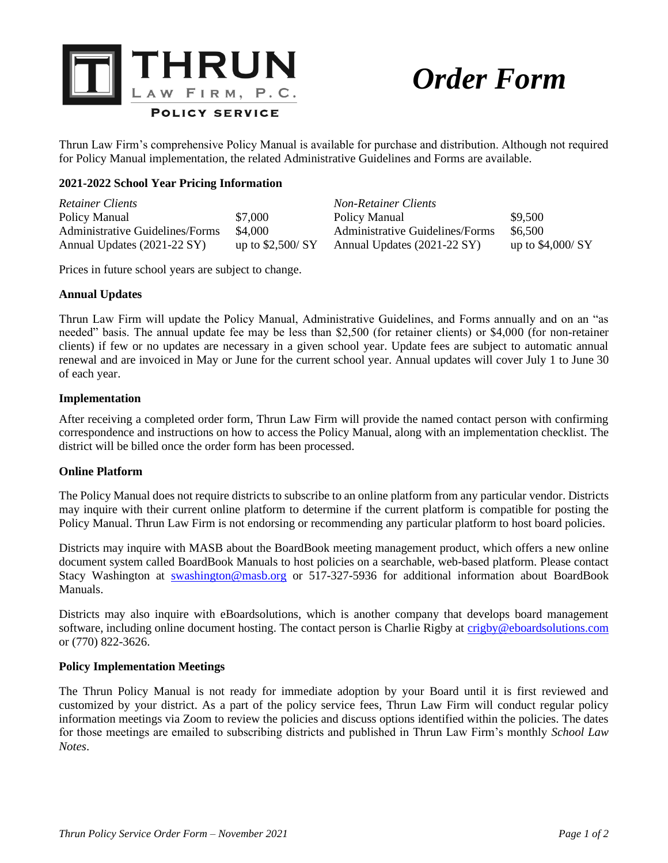

# *Order Form*

Thrun Law Firm's comprehensive Policy Manual is available for purchase and distribution. Although not required for Policy Manual implementation, the related Administrative Guidelines and Forms are available.

## **2021-2022 School Year Pricing Information**

| <b>Retainer Clients</b>         |                    | <b>Non-Retainer Clients</b>     |                    |
|---------------------------------|--------------------|---------------------------------|--------------------|
| Policy Manual                   | \$7,000            | Policy Manual                   | \$9,500            |
| Administrative Guidelines/Forms | \$4,000            | Administrative Guidelines/Forms | \$6,500            |
| Annual Updates (2021-22 SY)     | up to $$2,500/$ SY | Annual Updates (2021-22 SY)     | up to $$4,000/$ SY |

Prices in future school years are subject to change.

#### **Annual Updates**

Thrun Law Firm will update the Policy Manual, Administrative Guidelines, and Forms annually and on an "as needed" basis. The annual update fee may be less than \$2,500 (for retainer clients) or \$4,000 (for non-retainer clients) if few or no updates are necessary in a given school year. Update fees are subject to automatic annual renewal and are invoiced in May or June for the current school year. Annual updates will cover July 1 to June 30 of each year.

#### **Implementation**

After receiving a completed order form, Thrun Law Firm will provide the named contact person with confirming correspondence and instructions on how to access the Policy Manual, along with an implementation checklist. The district will be billed once the order form has been processed.

#### **Online Platform**

The Policy Manual does not require districts to subscribe to an online platform from any particular vendor. Districts may inquire with their current online platform to determine if the current platform is compatible for posting the Policy Manual. Thrun Law Firm is not endorsing or recommending any particular platform to host board policies.

Districts may inquire with MASB about the BoardBook meeting management product, which offers a new online document system called BoardBook Manuals to host policies on a searchable, web-based platform. Please contact Stacy Washington at **[swashington@masb.org](mailto:swashington@masb.org)** or 517-327-5936 for additional information about BoardBook Manuals.

Districts may also inquire with eBoardsolutions, which is another company that develops board management software, including online document hosting. The contact person is Charlie Rigby at [crigby@eboardsolutions.com](mailto:crigby@eboardsolutions.com) or (770) 822-3626.

#### **Policy Implementation Meetings**

The Thrun Policy Manual is not ready for immediate adoption by your Board until it is first reviewed and customized by your district. As a part of the policy service fees, Thrun Law Firm will conduct regular policy information meetings via Zoom to review the policies and discuss options identified within the policies. The dates for those meetings are emailed to subscribing districts and published in Thrun Law Firm's monthly *School Law Notes*.